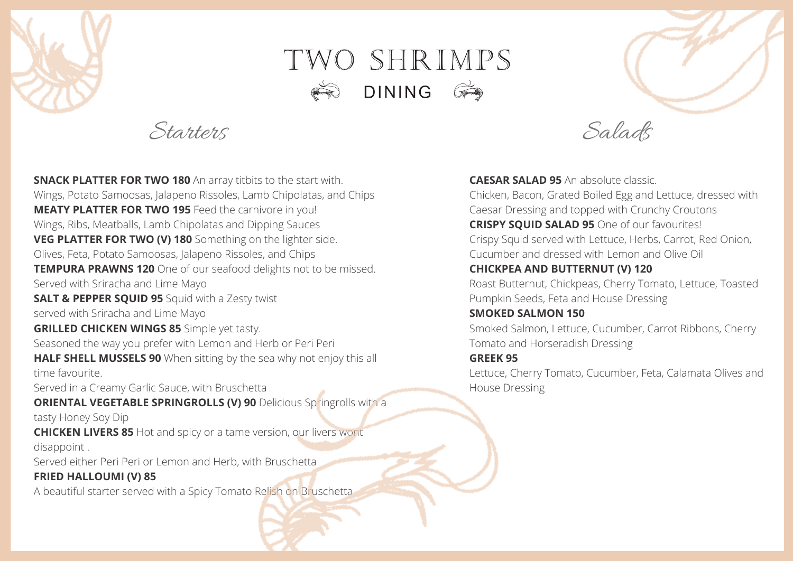

# TWO SHRIMPS **DINING**  $\mathbb{G}$

Starters Salads

**SNACK PLATTER FOR TWO 180** An array titbits to the start with. Wings, Potato Samoosas, Jalapeno Rissoles, Lamb Chipolatas, and Chips **MEATY PLATTER FOR TWO 195** Feed the carnivore in you! Wings, Ribs, Meatballs, Lamb Chipolatas and Dipping Sauces **VEG PLATTER FOR TWO (V) 180** Something on the lighter side. Olives, Feta, Potato Samoosas, Jalapeno Rissoles, and Chips **TEMPURA PRAWNS 120** One of our seafood delights not to be missed. Served with Sriracha and Lime Mayo **SALT & PEPPER SQUID 95** Squid with a Zesty twist served with Sriracha and Lime Mayo **GRILLED CHICKEN WINGS 85** Simple yet tasty. Seasoned the way you prefer with Lemon and Herb or Peri Peri **HALF SHELL MUSSELS 90** When sitting by the sea why not enjoy this all time favourite. Served in a Creamy Garlic Sauce, with Bruschetta **ORIENTAL VEGETABLE SPRINGROLLS (V) 90** Delicious Springrolls with a tasty Honey Soy Dip **CHICKEN LIVERS 85** Hot and spicy or a tame version, our livers wont disappoint . Served either Peri Peri or Lemon and Herb, with Bruschetta **FRIED HALLOUMI (V) 85**

A beautiful starter served with a Spicy Tomato Relish on Bruschetta

**CAESAR SALAD 95** An absolute classic. Chicken, Bacon, Grated Boiled Egg and Lettuce, dressed with Caesar Dressing and topped with Crunchy Croutons **CRISPY SQUID SALAD 95** One of our favourites! Crispy Squid served with Lettuce, Herbs, Carrot, Red Onion, Cucumber and dressed with Lemon and Olive Oil **CHICKPEA AND BUTTERNUT (V) 120** Roast Butternut, Chickpeas, Cherry Tomato, Lettuce, Toasted Pumpkin Seeds, Feta and House Dressing

**SMOKED SALMON 150**

Smoked Salmon, Lettuce, Cucumber, Carrot Ribbons, Cherry Tomato and Horseradish Dressing **GREEK 95**

Lettuce, Cherry Tomato, Cucumber, Feta, Calamata Olives and House Dressing